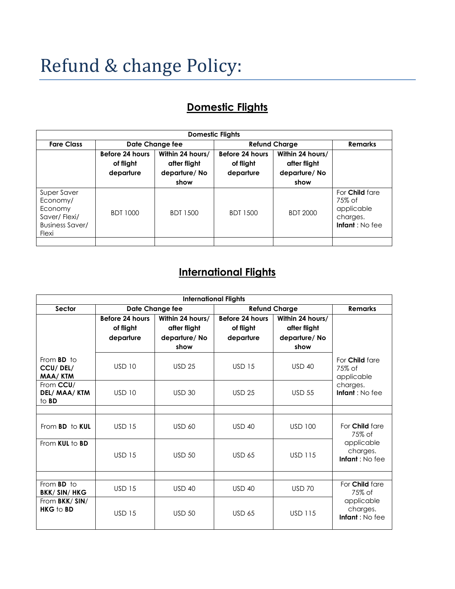## Refund & change Policy:

## **Domestic Flights**

| <b>Domestic Flights</b>                                                               |                                           |                                                          |                                           |                                                          |                                                                             |
|---------------------------------------------------------------------------------------|-------------------------------------------|----------------------------------------------------------|-------------------------------------------|----------------------------------------------------------|-----------------------------------------------------------------------------|
| <b>Fare Class</b>                                                                     | Date Change fee                           |                                                          | <b>Refund Charge</b>                      |                                                          | <b>Remarks</b>                                                              |
|                                                                                       | Before 24 hours<br>of flight<br>departure | Within 24 hours/<br>after flight<br>departure/No<br>show | Before 24 hours<br>of flight<br>departure | Within 24 hours/<br>after flight<br>departure/No<br>show |                                                                             |
| Super Saver<br>Economy/<br>Economy<br>Saver/Flexi/<br><b>Business Saver/</b><br>Flexi | <b>BDT 1000</b>                           | <b>BDT 1500</b>                                          | <b>BDT 1500</b>                           | <b>BDT 2000</b>                                          | For <b>Child</b> fare<br>75% of<br>applicable<br>charges.<br>Infant: No fee |
|                                                                                       |                                           |                                                          |                                           |                                                          |                                                                             |

## **International Flights**

| <b>International Flights</b>                    |                                           |                                                          |                                           |                                                          |                                                                             |
|-------------------------------------------------|-------------------------------------------|----------------------------------------------------------|-------------------------------------------|----------------------------------------------------------|-----------------------------------------------------------------------------|
| Sector                                          | Date Change fee                           |                                                          | <b>Refund Charge</b>                      |                                                          | <b>Remarks</b>                                                              |
|                                                 | Before 24 hours<br>of flight<br>departure | Within 24 hours/<br>after flight<br>departure/No<br>show | Before 24 hours<br>of flight<br>departure | Within 24 hours/<br>after flight<br>departure/No<br>show |                                                                             |
| From <b>BD</b> to<br>CCU/DEL/<br>MAA/KTM        | <b>USD 10</b>                             | <b>USD 25</b>                                            | <b>USD 15</b>                             | $USD$ 40                                                 | For Child fare<br>75% of<br>applicable<br>charges.<br>Infant: No fee        |
| From CCU/<br>DEL/ MAA/KTM<br>to <b>BD</b>       | <b>USD 10</b>                             | <b>USD 30</b>                                            | <b>USD 25</b>                             | <b>USD 55</b>                                            |                                                                             |
|                                                 |                                           |                                                          |                                           |                                                          |                                                                             |
| From <b>BD</b> to <b>KUL</b>                    | <b>USD 15</b>                             | <b>USD 60</b>                                            | <b>USD 40</b>                             | <b>USD 100</b>                                           | For <b>Child</b> fare<br>75% of<br>applicable<br>charges.<br>Infant: No fee |
| From <b>KUL</b> to <b>BD</b>                    | <b>USD 15</b>                             | $USD$ 50                                                 | <b>USD 65</b>                             | <b>USD 115</b>                                           |                                                                             |
|                                                 |                                           |                                                          |                                           |                                                          |                                                                             |
| From <b>BD</b> to<br><b>BKK/SIN/HKG</b>         | <b>USD 15</b>                             | $USD$ 40                                                 | $USD$ 40                                  | <b>USD 70</b>                                            | For Child fare<br>75% of                                                    |
| From <b>BKK/SIN/</b><br><b>HKG</b> to <b>BD</b> | <b>USD 15</b>                             | $USD$ 50                                                 | <b>USD 65</b>                             | <b>USD 115</b>                                           | applicable<br>charges.<br>Infant: No fee                                    |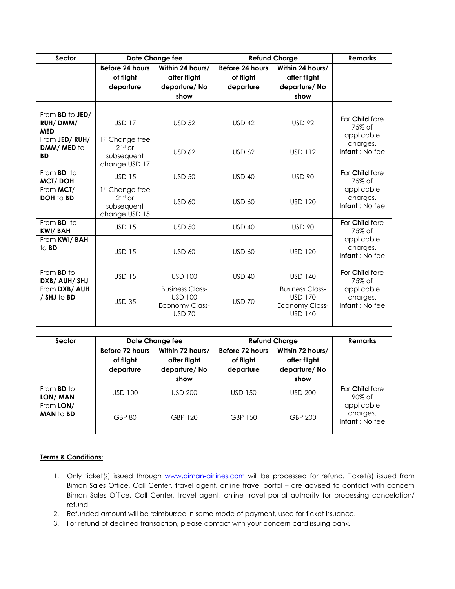| Sector                                                   | Date Change fee                                            |                                                                                    | <b>Refund Charge</b>                      |                                                                                     | <b>Remarks</b>                                                       |
|----------------------------------------------------------|------------------------------------------------------------|------------------------------------------------------------------------------------|-------------------------------------------|-------------------------------------------------------------------------------------|----------------------------------------------------------------------|
|                                                          | Before 24 hours<br>of flight<br>departure                  | Within 24 hours/<br>after flight<br>departure/No<br>show                           | Before 24 hours<br>of flight<br>departure | Within 24 hours/<br>after flight<br>departure/No<br>show                            |                                                                      |
|                                                          |                                                            |                                                                                    |                                           |                                                                                     |                                                                      |
| From <b>BD</b> to <b>JED</b> /<br>RUH/DMM/<br><b>MED</b> | <b>USD 17</b>                                              | <b>USD 52</b>                                                                      | <b>USD 42</b>                             | <b>USD 92</b>                                                                       | For Child fare<br>75% of<br>applicable<br>charges.<br>Infant: No fee |
| From JED/RUH/<br>DMM/MED to<br><b>BD</b>                 | 1st Change free<br>$2nd$ or<br>subsequent<br>change USD 17 | $USD$ 62                                                                           | <b>USD 62</b>                             | <b>USD 112</b>                                                                      |                                                                      |
| From <b>BD</b> to<br><b>MCT/DOH</b>                      | <b>USD 15</b>                                              | <b>USD 50</b>                                                                      | <b>USD 40</b>                             | <b>USD 90</b>                                                                       | For Child fare<br>75% of                                             |
| From MCT/<br><b>DOH to BD</b>                            | 1st Change free<br>$2nd$ or<br>subsequent<br>change USD 15 | <b>USD 60</b>                                                                      | <b>USD 60</b>                             | <b>USD 120</b>                                                                      | applicable<br>charges.<br>Infant: No fee                             |
| From <b>BD</b> to<br><b>KWI/BAH</b>                      | <b>USD 15</b>                                              | <b>USD 50</b>                                                                      | <b>USD 40</b>                             | <b>USD 90</b>                                                                       | For Child fare<br>75% of                                             |
| From KWI/ BAH<br>to <b>BD</b>                            | <b>USD 15</b>                                              | <b>USD 60</b>                                                                      | <b>USD 60</b>                             | <b>USD 120</b>                                                                      | applicable<br>charges.<br>Infant: No fee                             |
| From <b>BD</b> to<br>DXB/ AUH/ SHJ                       | <b>USD 15</b>                                              | <b>USD 100</b>                                                                     | <b>USD 40</b>                             | <b>USD 140</b>                                                                      | For Child fare<br>75% of<br>applicable<br>charges.<br>Infant: No fee |
| From DXB/ AUH<br>/ SHJ to BD                             | <b>USD 35</b>                                              | <b>Business Class-</b><br><b>USD 100</b><br><b>Economy Class-</b><br><b>USD 70</b> | <b>USD 70</b>                             | <b>Business Class-</b><br><b>USD 170</b><br><b>Economy Class-</b><br><b>USD 140</b> |                                                                      |
|                                                          |                                                            |                                                                                    |                                           |                                                                                     |                                                                      |

| Sector                               | Date Change fee                           |                                                          | <b>Refund Charge</b>                      |                                                          | <b>Remarks</b>                           |
|--------------------------------------|-------------------------------------------|----------------------------------------------------------|-------------------------------------------|----------------------------------------------------------|------------------------------------------|
|                                      | Before 72 hours<br>of flight<br>departure | Within 72 hours/<br>after flight<br>departure/No<br>show | Before 72 hours<br>of flight<br>departure | Within 72 hours/<br>after flight<br>departure/No<br>show |                                          |
| From <b>BD</b> to<br>LON/MAN         | <b>USD 100</b>                            | <b>USD 200</b>                                           | USD 150                                   | <b>USD 200</b>                                           | For <b>Child</b> fare<br>90% of          |
| From LON/<br><b>MAN</b> to <b>BD</b> | <b>GBP 80</b>                             | GBP 120                                                  | GBP 150                                   | <b>GBP 200</b>                                           | applicable<br>charges.<br>Infant: No fee |

## **Terms & Conditions:**

- 1. Only ticket(s) issued through [www.biman-airlines.com](http://www.biman-airlines.com/) will be processed for refund. Ticket(s) issued from Biman Sales Office, Call Center, travel agent, online travel portal – are advised to contact with concern Biman Sales Office, Call Center, travel agent, online travel portal authority for processing cancelation/ refund.
- 2. Refunded amount will be reimbursed in same mode of payment, used for ticket issuance.
- 3. For refund of declined transaction, please contact with your concern card issuing bank.